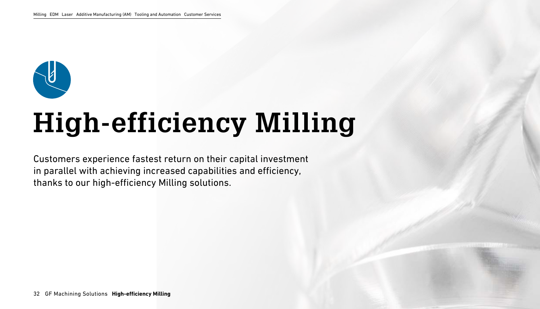

## **High-efficiency Milling**

Customers experience fastest return on their capital investment in parallel with achieving increased capabilities and efficiency, thanks to our high-efficiency Milling solutions.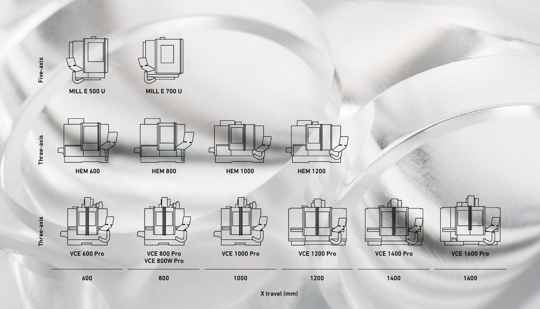Five-axis







Three-axis









X travel (mm)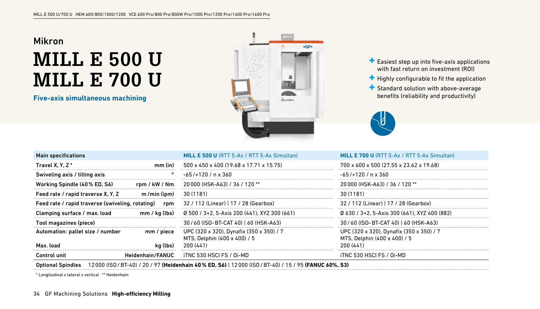## Mikron **MILL E 500 U MILL E 700 U**

**Five-axis simultaneous machining**



- $\blacksquare$  Easiest step up into five-axis applications with fast return on investment (ROI)
- $\blacksquare$  Highly configurable to fit the application
- $\blacktriangleright$  Standard solution with above-average benefits (reliability and productivity)



| <b>Main specifications</b>                                                                                                           | MILL E 500 U (RTT 5-Ax / RTT 5-Ax Simultan)                              | MILL E 700 U (RTT 5-Ax / RTT 5-Ax Simultan)                              |  |  |  |  |  |  |  |
|--------------------------------------------------------------------------------------------------------------------------------------|--------------------------------------------------------------------------|--------------------------------------------------------------------------|--|--|--|--|--|--|--|
| $mm$ (in)<br>Travel X.Y.Z <sup>*</sup>                                                                                               | 500 x 450 x 400 (19.68 x 17.71 x 15.75)                                  | 700 x 600 x 500 (27.55 x 23.62 x 19.68)                                  |  |  |  |  |  |  |  |
| Swiveling axis / tilting axis                                                                                                        | $-65/+120/$ n x 360                                                      | $-65/+120/$ n x 360                                                      |  |  |  |  |  |  |  |
| Working Spindle (40% ED, S6)<br>rpm / kW / Nm                                                                                        | 20 000 (HSK-A63) / 36 / 120 **                                           | 20000 (HSK-A63) / 36 / 120 **                                            |  |  |  |  |  |  |  |
| m/min (ipm)<br>Feed rate / rapid traverse X, Y, Z                                                                                    | 30 (1181)                                                                | 30 (1181)                                                                |  |  |  |  |  |  |  |
| Feed rate / rapid traverse (swiveling, rotating)<br>rpm                                                                              | 32 / 112 (Linear)   17 / 28 (Gearbox)                                    | 32 / 112 (Linear)   17 / 28 (Gearbox)                                    |  |  |  |  |  |  |  |
| mm / kg (lbs)<br>Clamping surface / max. load                                                                                        | Ø 500 / 3+2, 5-Axis 200 (441), XYZ 300 (661)                             | Ø 630 / 3+2, 5-Axis 300 (661), XYZ 400 (882)                             |  |  |  |  |  |  |  |
| Tool magazines (piece)                                                                                                               | 30/60 (ISO-BT-CAT 40)   60 (HSK-A63)                                     | 30/60 (ISO-BT-CAT 40)   60 (HSK-A63)                                     |  |  |  |  |  |  |  |
| Automation: pallet size / number<br>mm / piece                                                                                       | UPC (320 x 320), Dynafix (350 x 350) / 7<br>MTS. Delphin (400 x 400) / 5 | UPC (320 x 320), Dynafix (350 x 350) / 7<br>MTS. Delphin (400 x 400) / 5 |  |  |  |  |  |  |  |
| Max. load<br>kg (lbs)                                                                                                                | 200 (441)                                                                | 200 (441)                                                                |  |  |  |  |  |  |  |
| Control unit<br>Heidenhain/FANUC                                                                                                     | iTNC 530 HSCI FS / 0i-MD                                                 | iTNC 530 HSCI FS / 0i-MD                                                 |  |  |  |  |  |  |  |
| 12 000 (ISO / BT-40) / 20 / 97 (Heidenhain 40 % ED, S6)   12 000 (ISO / BT-40) / 15 / 95 (FANUC 60%, S3)<br><b>Optional Spindles</b> |                                                                          |                                                                          |  |  |  |  |  |  |  |

\* Longitudinal x lateral x vertical \*\* Heidenhain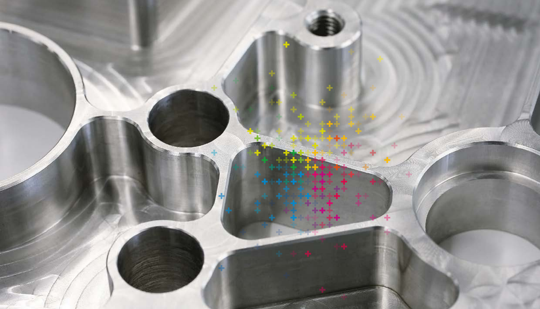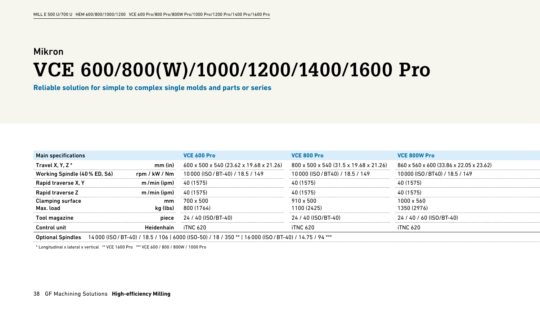## Mikron **VCE 600/800(W)/1000/1200/1400/1600 Pro**

**Reliable solution for simple to complex single molds and parts or series**

| <b>Main specifications</b>           |                      | <b>VCE 600 Pro</b>                                                                                                      | VCE 800 Pro                            | VCE 800W Pro                            |
|--------------------------------------|----------------------|-------------------------------------------------------------------------------------------------------------------------|----------------------------------------|-----------------------------------------|
| Travel X, Y, Z *                     |                      | mm (in) $600 \times 500 \times 540$ (23.62 x 19.68 x 21.26)                                                             | 800 x 500 x 540 (31.5 x 19.68 x 21.26) | 860 x 560 x 600 (33.86 x 22.05 x 23.62) |
| Working Spindle (40% ED, S6)         |                      | rpm / kW / Nm 10000 (ISO / BT-40) / 18.5 / 149                                                                          | 10000 (ISO / BT40) / 18.5 / 149        | 10000 (ISO/BT40) / 18.5 / 149           |
| Rapid traverse X, Y                  | m/min(ipm) 40 (1575) |                                                                                                                         | 40 (1575)                              | 40 (1575)                               |
| Rapid traverse Z                     | m/min(ipm) 40 (1575) |                                                                                                                         | 40 (1575)                              | 40 (1575)                               |
| <b>Clamping surface</b><br>Max. load |                      | mm 700 x 500<br><b>kg (lbs)</b> 800 (1764)                                                                              | 910 x 500<br>1100 (2425)               | 1000 x 560<br>1350 (2976)               |
| Tool magazine                        |                      | piece 24 / 40 (ISO/BT-40)                                                                                               | 24 / 40 (ISO/BT-40)                    | 24 / 40 / 60 (ISO/BT-40)                |
| Control unit                         | Heidenhain iTNC 620  |                                                                                                                         | <b>iTNC 620</b>                        | <b>iTNC 620</b>                         |
|                                      |                      | Optional Spindles 14000 (ISO / BT-40) / 18.5 / 106   6000 (ISO-50) / 18 / 350 **   16000 (ISO / BT-40) / 14.75 / 94 *** |                                        |                                         |

\* Longitudinal x lateral x vertical \*\* VCE 1600 Pro \*\*\* VCE 600 / 800 / 800W / 1000 Pro